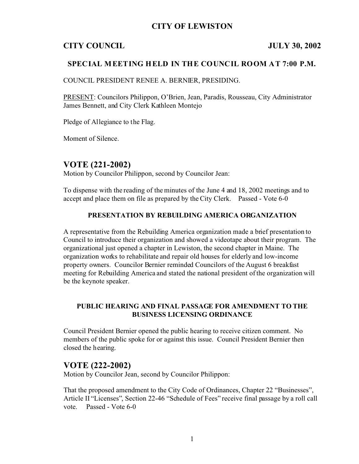## **CITY OF LEWISTON**

### **CITY COUNCIL JULY 30, 2002**

### **SPECIAL MEETING HELD IN THE COUNCIL ROOM AT 7:00 P.M.**

COUNCIL PRESIDENT RENEE A. BERNIER, PRESIDING.

PRESENT: Councilors Philippon, O'Brien, Jean, Paradis, Rousseau, City Administrator James Bennett, and City Clerk Kathleen Montejo

Pledge of Allegiance to the Flag.

Moment of Silence.

## **VOTE (221-2002)**

Motion by Councilor Philippon, second by Councilor Jean:

To dispense with the reading of the minutes of the June 4 and 18, 2002 meetings and to accept and place them on file as prepared by the City Clerk. Passed - Vote 6-0

#### **PRESENTATION BY REBUILDING AMERICA ORGANIZATION**

A representative from the Rebuilding America organization made a brief presentation to Council to introduce their organization and showed a videotape about their program. The organizational just opened a chapter in Lewiston, the second chapter in Maine. The organization works to rehabilitate and repair old houses for elderly and low-income property owners. Councilor Bernier reminded Councilors of the August 6 breakfast meeting for Rebuilding America and stated the national president of the organization will be the keynote speaker.

### **PUBLIC HEARING AND FINAL PASSAGE FOR AMENDMENT TO THE BUSINESS LICENSING ORDINANCE**

Council President Bernier opened the public hearing to receive citizen comment. No members of the public spoke for or against this issue. Council President Bernier then closed the hearing.

### **VOTE (222-2002)**

Motion by Councilor Jean, second by Councilor Philippon:

That the proposed amendment to the City Code of Ordinances, Chapter 22 "Businesses", Article II "Licenses", Section 22-46 "Schedule of Fees" receive final passage by a roll call vote. Passed - Vote 6-0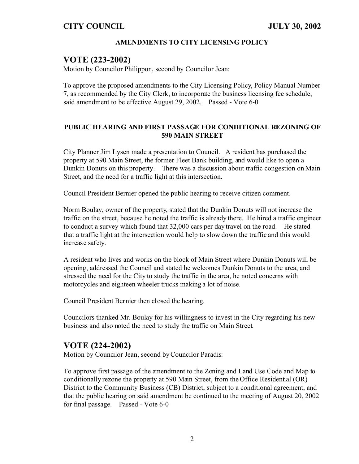### **AMENDMENTS TO CITY LICENSING POLICY**

# **VOTE (223-2002)**

Motion by Councilor Philippon, second by Councilor Jean:

To approve the proposed amendments to the City Licensing Policy, Policy Manual Number 7, as recommended by the City Clerk, to incorporate the business licensing fee schedule, said amendment to be effective August 29, 2002. Passed - Vote 6-0

#### **PUBLIC HEARING AND FIRST PASSAGE FOR CONDITIONAL REZONING OF 590 MAIN STREET**

City Planner Jim Lysen made a presentation to Council. A resident has purchased the property at 590 Main Street, the former Fleet Bank building, and would like to open a Dunkin Donuts on this property. There was a discussion about traffic congestion on Main Street, and the need for a traffic light at this intersection.

Council President Bernier opened the public hearing to receive citizen comment.

Norm Boulay, owner of the property, stated that the Dunkin Donuts will not increase the traffic on the street, because he noted the traffic is already there. He hired a traffic engineer to conduct a survey which found that 32,000 cars per day travel on the road. He stated that a traffic light at the intersection would help to slow down the traffic and this would increase safety.

A resident who lives and works on the block of Main Street where Dunkin Donuts will be opening, addressed the Council and stated he welcomes Dunkin Donuts to the area, and stressed the need for the City to study the traffic in the area, he noted concerns with motorcycles and eighteen wheeler trucks making a lot of noise.

Council President Bernier then closed the hearing.

Councilors thanked Mr. Boulay for his willingness to invest in the City regarding his new business and also noted the need to study the traffic on Main Street.

# **VOTE (224-2002)**

Motion by Councilor Jean, second by Councilor Paradis:

To approve first passage of the amendment to the Zoning and Land Use Code and Map to conditionally rezone the property at 590 Main Street, from the Office Residential (OR) District to the Community Business (CB) District, subject to a conditional agreement, and that the public hearing on said amendment be continued to the meeting of August 20, 2002 for final passage. Passed - Vote 6-0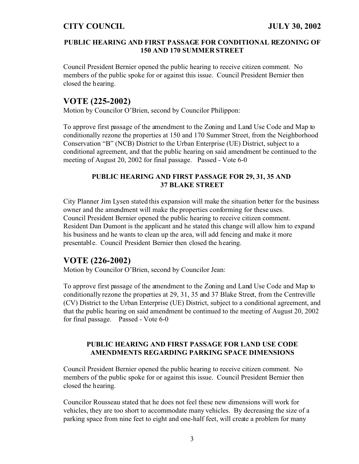#### **PUBLIC HEARING AND FIRST PASSAGE FOR CONDITIONAL REZONING OF 150 AND 170 SUMMER STREET**

Council President Bernier opened the public hearing to receive citizen comment. No members of the public spoke for or against this issue. Council President Bernier then closed the hearing.

# **VOTE (225-2002)**

Motion by Councilor O'Brien, second by Councilor Philippon:

To approve first passage of the amendment to the Zoning and Land Use Code and Map to conditionally rezone the properties at 150 and 170 Summer Street, from the Neighborhood Conservation "B" (NCB) District to the Urban Enterprise (UE) District, subject to a conditional agreement, and that the public hearing on said amendment be continued to the meeting of August 20, 2002 for final passage. Passed - Vote 6-0

### **PUBLIC HEARING AND FIRST PASSAGE FOR 29, 31, 35 AND 37 BLAKE STREET**

City Planner Jim Lysen stated this expansion will make the situation better for the business owner and the amendment will make the properties conforming for these uses. Council President Bernier opened the public hearing to receive citizen comment. Resident Dan Dumont is the applicant and he stated this change will allow him to expand his business and he wants to clean up the area, will add fencing and make it more presentable. Council President Bernier then closed the hearing.

# **VOTE (226-2002)**

Motion by Councilor O'Brien, second by Councilor Jean:

To approve first passage of the amendment to the Zoning and Land Use Code and Map to conditionally rezone the properties at 29, 31, 35 and 37 Blake Street, from the Centreville (CV) District to the Urban Enterprise (UE) District, subject to a conditional agreement, and that the public hearing on said amendment be continued to the meeting of August 20, 2002 for final passage. Passed - Vote 6-0

### **PUBLIC HEARING AND FIRST PASSAGE FOR LAND USE CODE AMENDMENTS REGARDING PARKING SPACE DIMENSIONS**

Council President Bernier opened the public hearing to receive citizen comment. No members of the public spoke for or against this issue. Council President Bernier then closed the hearing.

Councilor Rousseau stated that he does not feel these new dimensions will work for vehicles, they are too short to accommodate many vehicles. By decreasing the size of a parking space from nine feet to eight and one-half feet, will create a problem for many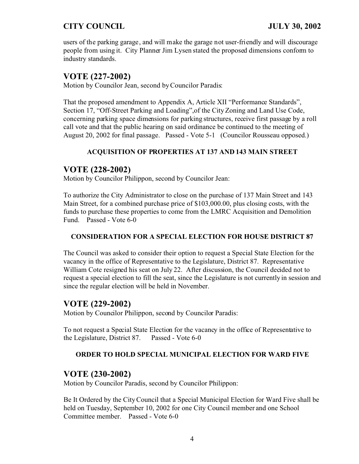users of the parking garage, and will make the garage not user-friendly and will discourage people from using it. City Planner Jim Lysen stated the proposed dimensions conform to industry standards.

# **VOTE (227-2002)**

Motion by Councilor Jean, second by Councilor Paradis:

That the proposed amendment to Appendix A, Article XII "Performance Standards", Section 17, "Off-Street Parking and Loading",of the City Zoning and Land Use Code, concerning parking space dimensions for parking structures, receive first passage by a roll call vote and that the public hearing on said ordinance be continued to the meeting of August 20, 2002 for final passage. Passed - Vote 5-1 (Councilor Rousseau opposed.)

### **ACQUISITION OF PROPERTIES AT 137 AND 143 MAIN STREET**

# **VOTE (228-2002)**

Motion by Councilor Philippon, second by Councilor Jean:

To authorize the City Administrator to close on the purchase of 137 Main Street and 143 Main Street, for a combined purchase price of \$103,000.00, plus closing costs, with the funds to purchase these properties to come from the LMRC Acquisition and Demolition Fund. Passed - Vote 6-0

### **CONSIDERATION FOR A SPECIAL ELECTION FOR HOUSE DISTRICT 87**

The Council was asked to consider their option to request a Special State Election for the vacancy in the office of Representative to the Legislature, District 87. Representative William Cote resigned his seat on July 22. After discussion, the Council decided not to request a special election to fill the seat, since the Legislature is not currently in session and since the regular election will be held in November.

## **VOTE (229-2002)**

Motion by Councilor Philippon, second by Councilor Paradis:

To not request a Special State Election for the vacancy in the office of Representative to the Legislature, District 87. Passed - Vote 6-0

### **ORDER TO HOLD SPECIAL MUNICIPAL ELECTION FOR WARD FIVE**

## **VOTE (230-2002)**

Motion by Councilor Paradis, second by Councilor Philippon:

Be It Ordered by the City Council that a Special Municipal Election for Ward Five shall be held on Tuesday, September 10, 2002 for one City Council member and one School Committee member. Passed - Vote 6-0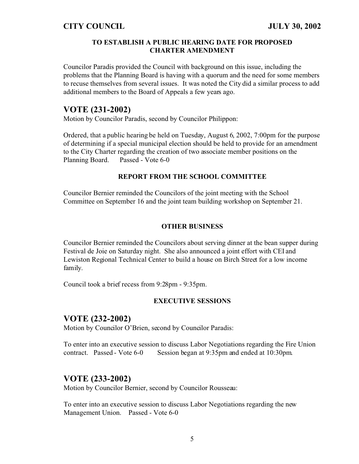#### **TO ESTABLISH A PUBLIC HEARING DATE FOR PROPOSED CHARTER AMENDMENT**

Councilor Paradis provided the Council with background on this issue, including the problems that the Planning Board is having with a quorum and the need for some members to recuse themselves from several issues. It was noted the City did a similar process to add additional members to the Board of Appeals a few years ago.

### **VOTE (231-2002)**

Motion by Councilor Paradis, second by Councilor Philippon:

Ordered, that a public hearing be held on Tuesday, August 6, 2002, 7:00pm for the purpose of determining if a special municipal election should be held to provide for an amendment to the City Charter regarding the creation of two associate member positions on the Planning Board. Passed - Vote 6-0

#### **REPORT FROM THE SCHOOL COMMITTEE**

Councilor Bernier reminded the Councilors of the joint meeting with the School Committee on September 16 and the joint team building workshop on September 21.

#### **OTHER BUSINESS**

Councilor Bernier reminded the Councilors about serving dinner at the bean supper during Festival de Joie on Saturday night. She also announced a joint effort with CEI and Lewiston Regional Technical Center to build a house on Birch Street for a low income family.

Council took a brief recess from 9:28pm - 9:35pm.

#### **EXECUTIVE SESSIONS**

### **VOTE (232-2002)**

Motion by Councilor O'Brien, second by Councilor Paradis:

To enter into an executive session to discuss Labor Negotiations regarding the Fire Union contract. Passed - Vote 6-0 Session began at 9:35pm and ended at 10:30pm.

# **VOTE (233-2002)**

Motion by Councilor Bernier, second by Councilor Rousseau:

To enter into an executive session to discuss Labor Negotiations regarding the new Management Union. Passed - Vote 6-0